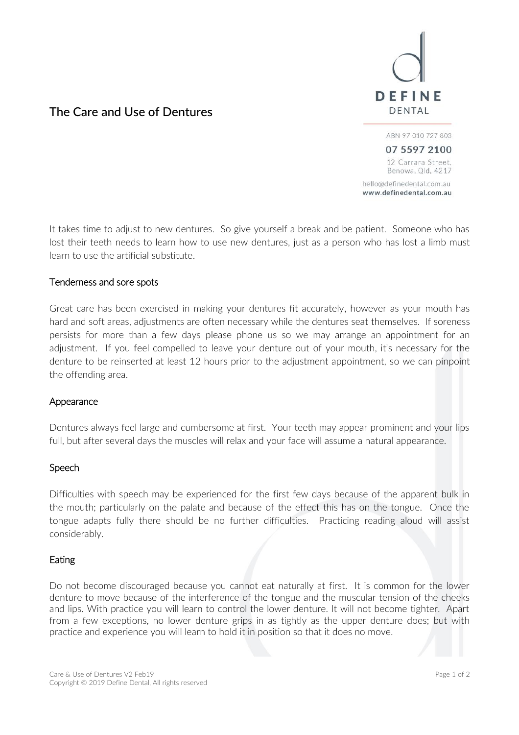# DEFINE DENTAL

# The Care and Use of Dentures

ABN 97 010 727 803

07 5597 2100 12 Carrara Street, Benowa, Qld, 4217

hello@definedental.com.au www.definedental.com.au

It takes time to adjust to new dentures. So give yourself a break and be patient. Someone who has lost their teeth needs to learn how to use new dentures, just as a person who has lost a limb must learn to use the artificial substitute.

## Tenderness and sore spots

Great care has been exercised in making your dentures fit accurately, however as your mouth has hard and soft areas, adjustments are often necessary while the dentures seat themselves. If soreness persists for more than a few days please phone us so we may arrange an appointment for an adjustment. If you feel compelled to leave your denture out of your mouth, it's necessary for the denture to be reinserted at least 12 hours prior to the adjustment appointment, so we can pinpoint the offending area.

## Appearance

Dentures always feel large and cumbersome at first. Your teeth may appear prominent and your lips full, but after several days the muscles will relax and your face will assume a natural appearance.

## **Speech**

Difficulties with speech may be experienced for the first few days because of the apparent bulk in the mouth; particularly on the palate and because of the effect this has on the tongue. Once the tongue adapts fully there should be no further difficulties. Practicing reading aloud will assist considerably.

## Eating

Do not become discouraged because you cannot eat naturally at first. It is common for the lower denture to move because of the interference of the tongue and the muscular tension of the cheeks and lips. With practice you will learn to control the lower denture. It will not become tighter. Apart from a few exceptions, no lower denture grips in as tightly as the upper denture does; but with practice and experience you will learn to hold it in position so that it does no move.